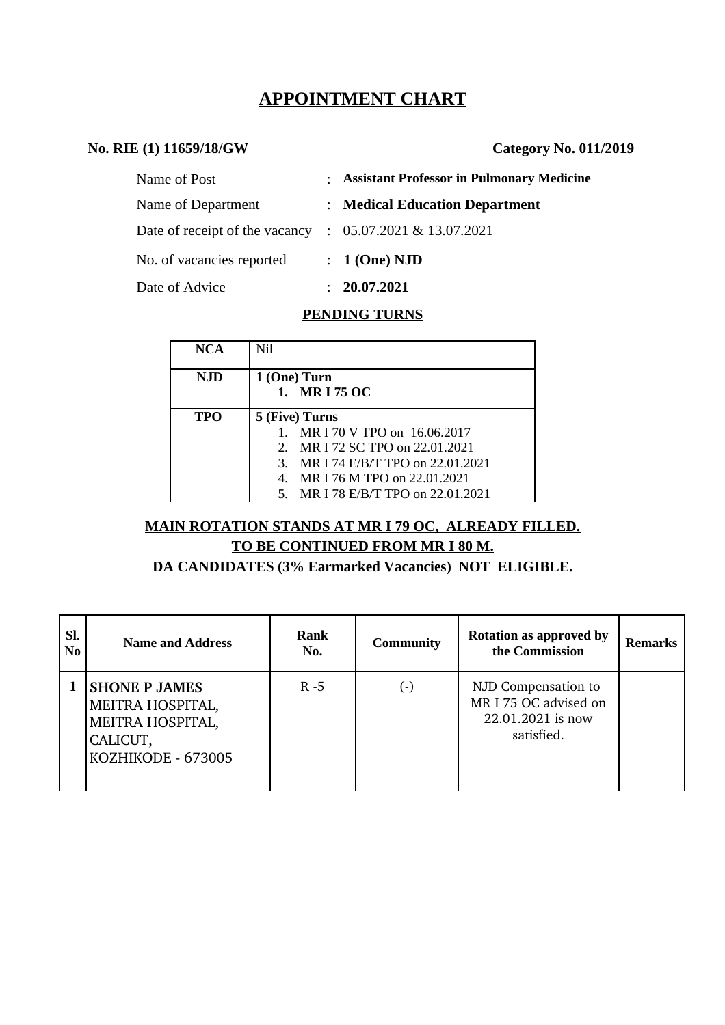# **APPOINTMENT CHART**

### **No. RIE (1) 11659/18/GW Category No. 011/2019**

| Name of Post                   | : Assistant Professor in Pulmonary Medicine |
|--------------------------------|---------------------------------------------|
| Name of Department             | : Medical Education Department              |
| Date of receipt of the vacancy | $: 05.07.2021 \& 13.07.2021$                |
| No. of vacancies reported      | $: 1$ (One) NJD                             |
| Date of Advice                 | 20.07.2021                                  |

## **PENDING TURNS**

| NCA        | Nil                                         |  |  |  |
|------------|---------------------------------------------|--|--|--|
| <b>NJD</b> | 1 (One) Turn                                |  |  |  |
|            | 1. MRI 75 OC                                |  |  |  |
| <b>TPO</b> | 5 (Five) Turns                              |  |  |  |
|            | MR I 70 V TPO on 16.06.2017                 |  |  |  |
|            | 2. MR I 72 SC TPO on 22.01.2021             |  |  |  |
|            | MR I 74 E/B/T TPO on 22.01.2021<br>3.       |  |  |  |
|            | MR I 76 M TPO on 22.01.2021<br>$\mathbf{4}$ |  |  |  |
|            | MR I 78 E/B/T TPO on 22.01.2021<br>5.       |  |  |  |

# **MAIN ROTATION STANDS AT MR I 79 OC, ALREADY FILLED. TO BE CONTINUED FROM MR I 80 M.**

**DA CANDIDATES (3% Earmarked Vacancies) NOT ELIGIBLE.**

| SI.<br>N <sub>0</sub> | <b>Name and Address</b>                                                                        | <b>Rank</b><br>No. | <b>Community</b> | <b>Rotation as approved by</b><br>the Commission                                | <b>Remarks</b> |
|-----------------------|------------------------------------------------------------------------------------------------|--------------------|------------------|---------------------------------------------------------------------------------|----------------|
|                       | <b>SHONE P JAMES</b><br>MEITRA HOSPITAL,<br>MEITRA HOSPITAL,<br>CALICUT,<br>KOZHIKODE - 673005 | $R - 5$            | ( - )            | NJD Compensation to<br>MR I 75 OC advised on<br>22.01.2021 is now<br>satisfied. |                |